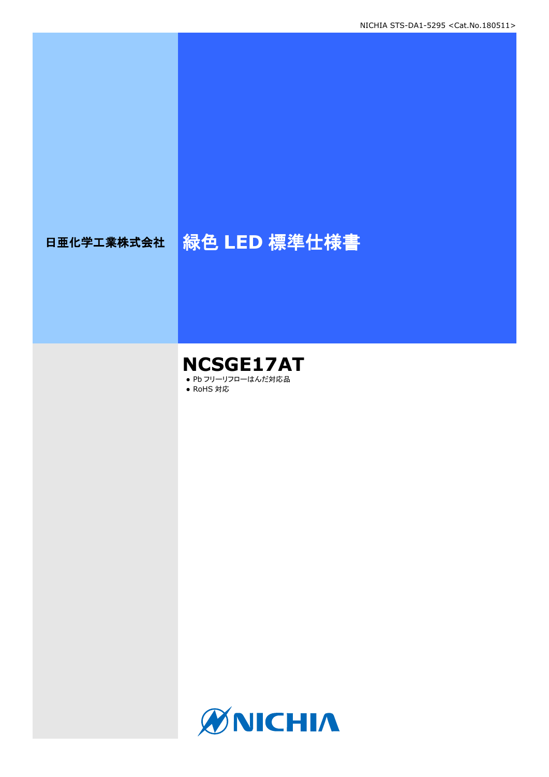# 日亜化学工業株式会社 <mark>緑色 LED 標準仕様書</mark>

### **NCSGE17AT** ● Pb フリーリフローはんだ対応品

● RoHS 対応

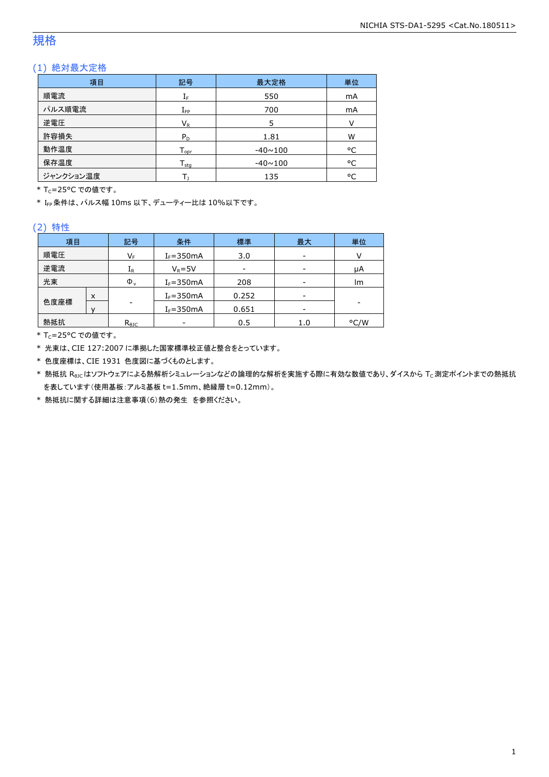### 規格

### (1) 絶対最大定格

| 項目        | 記号                           | 最大定格           | 単位 |
|-----------|------------------------------|----------------|----|
| 順電流       | ΙF                           | 550            | mA |
| パルス順電流    | $I_{\mathsf{FP}}$            | 700            | mA |
| 逆電圧       | $V_{R}$                      | 5              | v  |
| 許容損失      | $P_D$                        | 1.81           | W  |
| 動作温度      | ${\mathsf T}_{\textsf{opr}}$ | $-40 \sim 100$ | °C |
| 保存温度      | $T_{\text{stg}}$             | $-40 \sim 100$ | °C |
| ジャンクション温度 |                              | 135            | °C |

\* Tc=25°C での値です。

\* IFP条件は、パルス幅 10ms 以下、デューティー比は 10%以下です。

#### (2) 特性

| 項目   |   | 記号                      | 条件            | 標準                       | 最大  | 単位   |
|------|---|-------------------------|---------------|--------------------------|-----|------|
| 順電圧  |   | $\mathsf{V}_\mathsf{F}$ | $I_F = 350mA$ | 3.0                      | -   |      |
| 逆電流  |   | ${\rm I}_{\mathsf{R}}$  | $V_R = 5V$    | $\overline{\phantom{0}}$ | -   | μA   |
| 光束   |   | $\Phi_{\rm v}$          | $I_F = 350mA$ | 208                      | -   | lm   |
|      | X |                         | $I_F = 350mA$ | 0.252                    | -   |      |
| 色度座標 |   | -                       | $I_F = 350mA$ | 0.651                    | -   |      |
| 熱抵抗  |   | $R_{\theta$ JC          |               | 0.5                      | 1.0 | °C/W |

\* Tc=25°C での値です。

\* 光束は、CIE 127:2007 に準拠した国家標準校正値と整合をとっています。

\* 色度座標は、CIE 1931 色度図に基づくものとします。

\* 熱抵抗 Rejcはソフトウェアによる熱解析シミュレーションなどの論理的な解析を実施する際に有効な数値であり、ダイスから Tc測定ポイントまでの熱抵抗 を表しています(使用基板:アルミ基板 t=1.5mm、絶縁層 t=0.12mm)。

\* 熱抵抗に関する詳細は注意事項(6)熱の発生 を参照ください。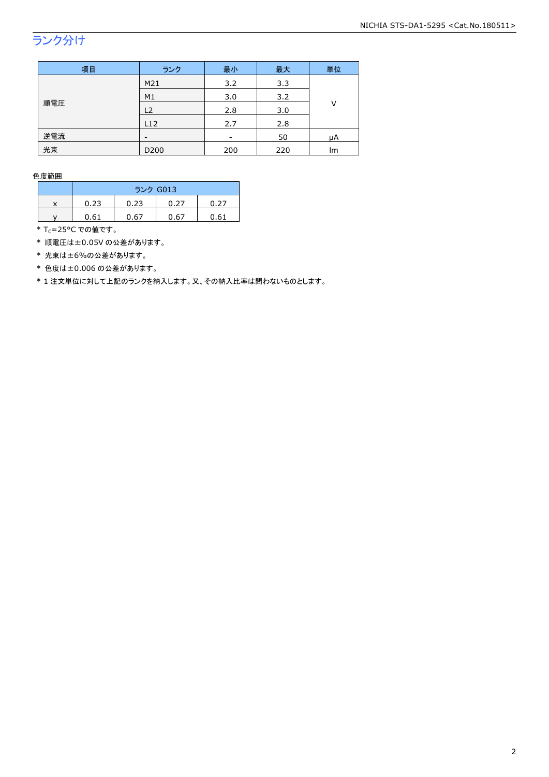## ランク分け

| 項目  | ランク              | 最小  | 最大  | 単位 |
|-----|------------------|-----|-----|----|
|     | M21              | 3.2 | 3.3 |    |
|     | M1               | 3.0 | 3.2 | ٧  |
| 順電圧 | L2               | 2.8 | 3.0 |    |
|     | L12              | 2.7 | 2.8 |    |
| 逆電流 |                  | -   | 50  | μA |
| 光束  | D <sub>200</sub> | 200 | 220 | lm |

色度範囲

|   | ランク G013 |      |      |      |
|---|----------|------|------|------|
| v | 0.23     | 0.23 | 0.27 | 0.27 |
|   | 0.61     | 0.67 | 0.67 | 0.61 |

\* Tc=25°C での値です。

\* 順電圧は±0.05V の公差があります。

\* 光束は±6%の公差があります。

\* 色度は±0.006 の公差があります。

\* 1 注文単位に対して上記のランクを納入します。又、その納入比率は問わないものとします。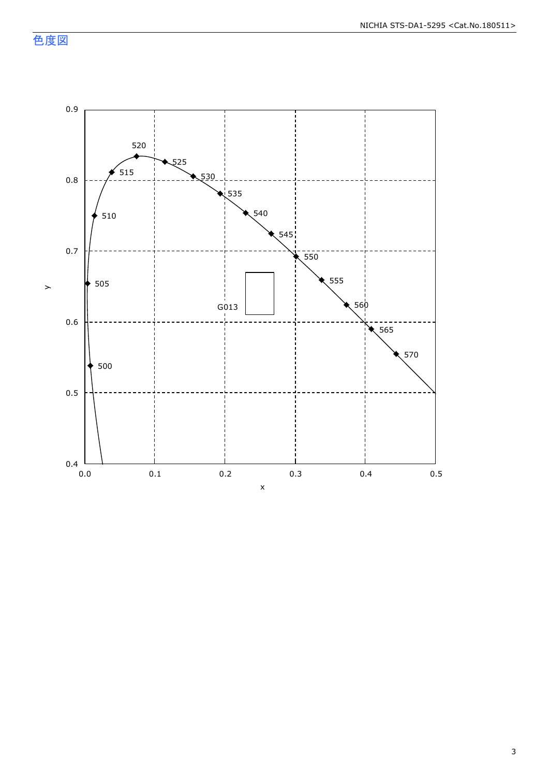色度図

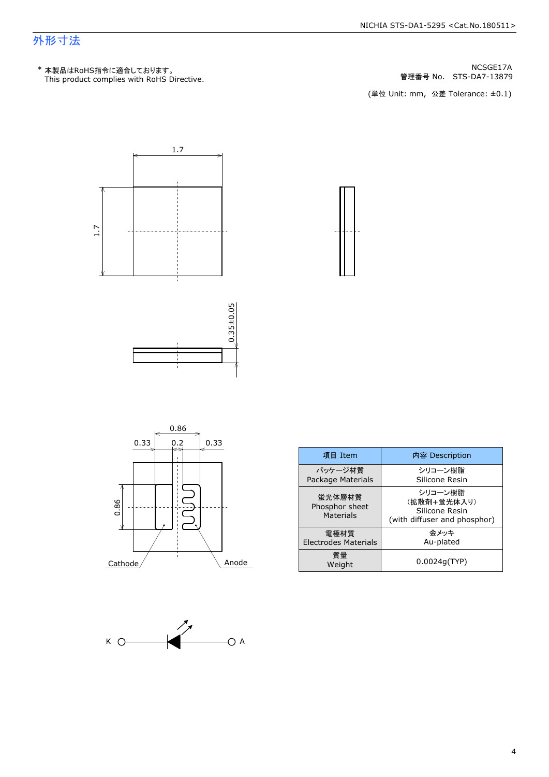### 外形寸法

管理番号 No.







| 項目 Item                                      | 内容 Description                                                           |
|----------------------------------------------|--------------------------------------------------------------------------|
| パッケージ材質<br>Package Materials                 | シリコーン樹脂<br>Silicone Resin                                                |
| 蛍光体層材質<br>Phosphor sheet<br><b>Materials</b> | シリコーン樹脂<br>(拡散剤+蛍光体入り)<br>Silicone Resin<br>(with diffuser and phosphor) |
| 電極材質<br>Electrodes Materials                 | 金メッキ<br>Au-plated                                                        |
| 質量<br>Weight                                 | 0.0024q(TYP)                                                             |



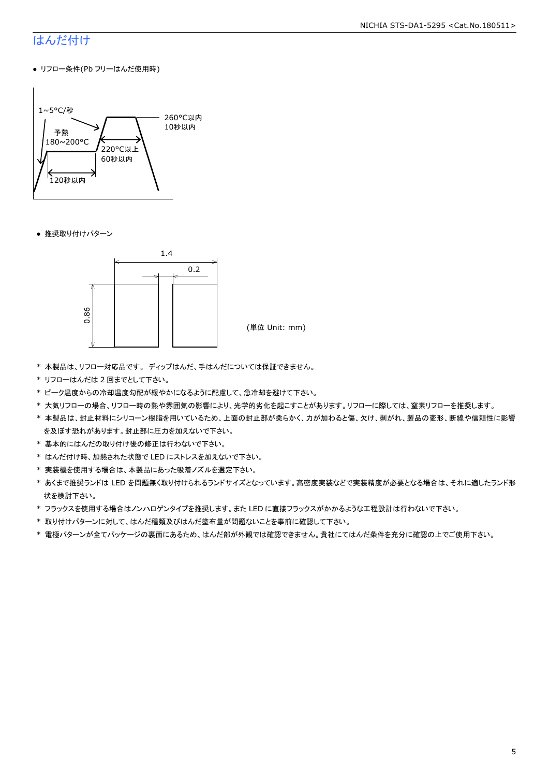### はんだ付け

● リフロー条件(Pb フリーはんだ使用時)



● 推奨取り付けパターン



- \* 本製品は、リフロー対応品です。 ディップはんだ、手はんだについては保証できません。
- \* リフローはんだは 2 回までとして下さい。
- \* ピーク温度からの冷却温度勾配が緩やかになるように配慮して、急冷却を避けて下さい。
- \* 大気リフローの場合、リフロー時の熱や雰囲気の影響により、光学的劣化を起こすことがあります。リフローに際しては、窒素リフローを推奨します。
- \* 本製品は、封止材料にシリコーン樹脂を用いているため、上面の封止部が柔らかく、力が加わると傷、欠け、剥がれ、製品の変形、断線や信頼性に影響 を及ぼす恐れがあります。封止部に圧力を加えないで下さい。
- \* 基本的にはんだの取り付け後の修正は行わないで下さい。
- \* はんだ付け時、加熱された状態で LED にストレスを加えないで下さい。
- \* 実装機を使用する場合は、本製品にあった吸着ノズルを選定下さい。
- \* あくまで推奨ランドは LED を問題無く取り付けられるランドサイズとなっています。高密度実装などで実装精度が必要となる場合は、それに適したランド形 状を検討下さい。
- \* フラックスを使用する場合はノンハロゲンタイプを推奨します。また LED に直接フラックスがかかるような工程設計は行わないで下さい。
- \* 取り付けパターンに対して、はんだ種類及びはんだ塗布量が問題ないことを事前に確認して下さい。
- \* 電極パターンが全てパッケージの裏面にあるため、はんだ部が外観では確認できません。貴社にてはんだ条件を充分に確認の上でご使用下さい。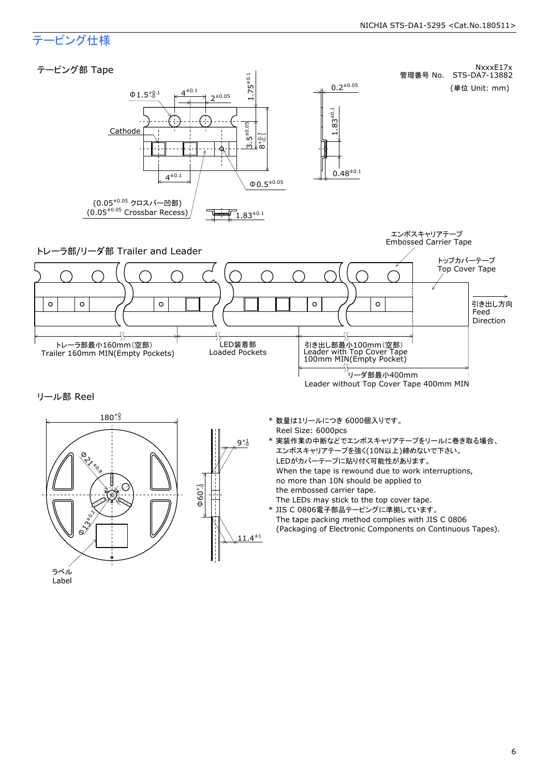### テーピング仕様

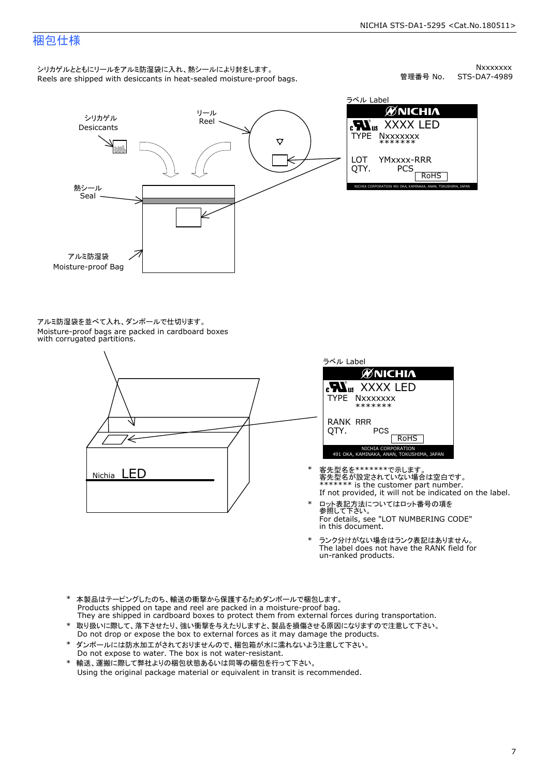### 梱包仕様

シリカゲルとともにリールをアルミ防湿袋に入れ、熱シールにより封をします。<br>Reels are shipped with desiccants in heat-sealed moisture-proof bags.

Nxxxxxxx<br>STS-DA7-4989 管理番号 No.



アルミ防湿袋を並べて入れ、ダンボールで仕切ります。<br>Moisture-proof bags are packed in cardboard boxes<br>with corrugated partitions.





- 客先型名を\*\*\*\*\*\*\*で示します。<br>客先型名が設定されていない場合は空白です。<br>\*\*\*\*\*\*\* is the customer part number.<br>If not provided, it will not be indicated on the label.
- ロット表記方法についてはロット番号の項を<br>参照して下さい。 \* ロット表記方法についてはロット番号の項を<br>参照して下さい。<br>For details, see "LOT NUMBERING CODE"<br>in this document.
- The label does not have the RANK field for \* ランク分けがない場合はランク表記はありません。<br>The label does not have the RANK field fi<br>un-ranked products.
- 
- \* 取り扱いに際して、落下させたり、強い衝撃を与えたりしますと、製品を損傷させる原因になりますので注意して下さい。<br>Do not drop or expose the box to external forces as it may damage the products.<br>\* ダンボールには防水加工がされておりませんので、梱包箱が水に濡れないよう注意して下さい。<br>Do not expose to water. The box is n \* 本製品はテーピングしたのち、輸送の衝撃から保護するためダンボールで梱包します。<br>Products shipped on tape and reel are packed in a moisture-proof bag.<br>They are shipped in cardboard boxes to protect them from external forces during transportation.<br>\* 取り扱いに際して、落
- \* ダンボールには防水加工がされておりませんので、梱包箱が水に濡れないよう注意して下さい。
-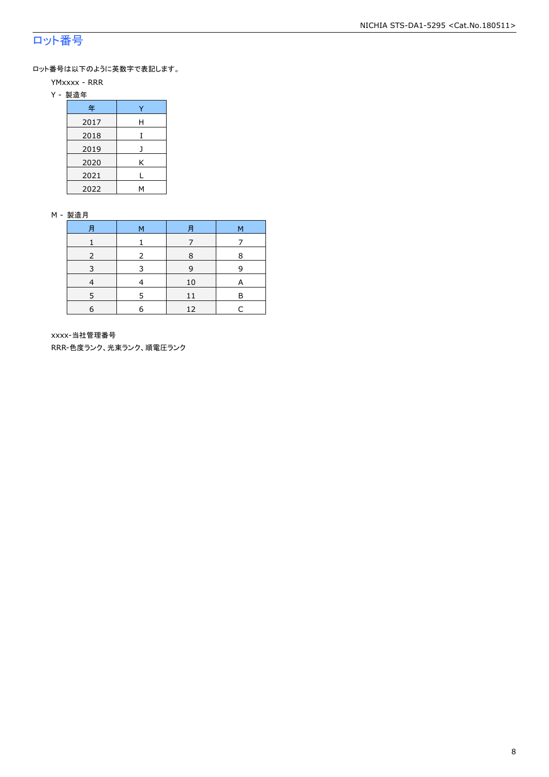### ロット番号

ロット番号は以下のように英数字で表記します。

- YMxxxx RRR
- Y 製造年

| 年    |   |  |  |  |  |
|------|---|--|--|--|--|
| 2017 | Н |  |  |  |  |
| 2018 |   |  |  |  |  |
| 2019 |   |  |  |  |  |
| 2020 | Κ |  |  |  |  |
| 2021 |   |  |  |  |  |
| 2022 |   |  |  |  |  |

#### M - 製造月

| 月 | M | 月  | М |
|---|---|----|---|
|   |   |    |   |
|   |   | 8  | 8 |
|   |   | 9  | 9 |
|   |   | 10 | А |
|   | 5 | 11 | R |
| 6 | 6 | 12 |   |

xxxx-当社管理番号

RRR-色度ランク、光束ランク、順電圧ランク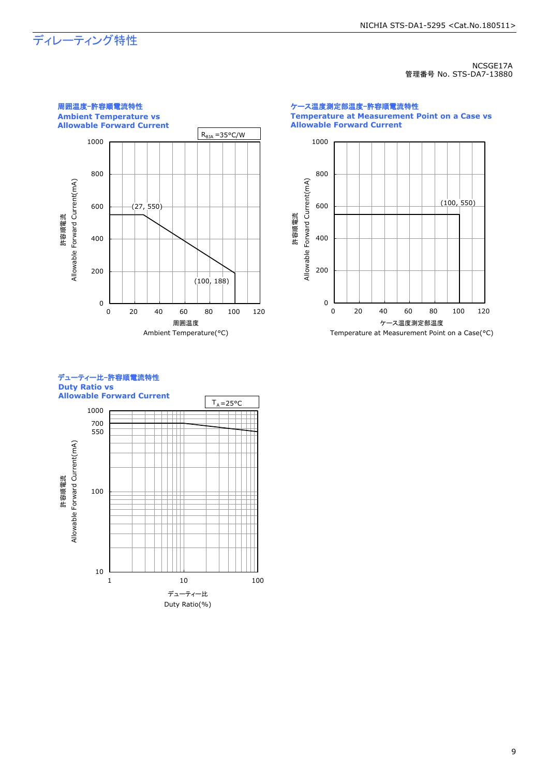## ディレーティング特性

NCSGE17A 管理番号 No. STS-DA7-13880



ケース温度測定部温度-許容順電流特性 **Temperature at Measurement Point on a Case vs Allowable Forward Current**



#### デューティー比-許容順電流特性 **Duty Ratio vs Allowable Forward Current**

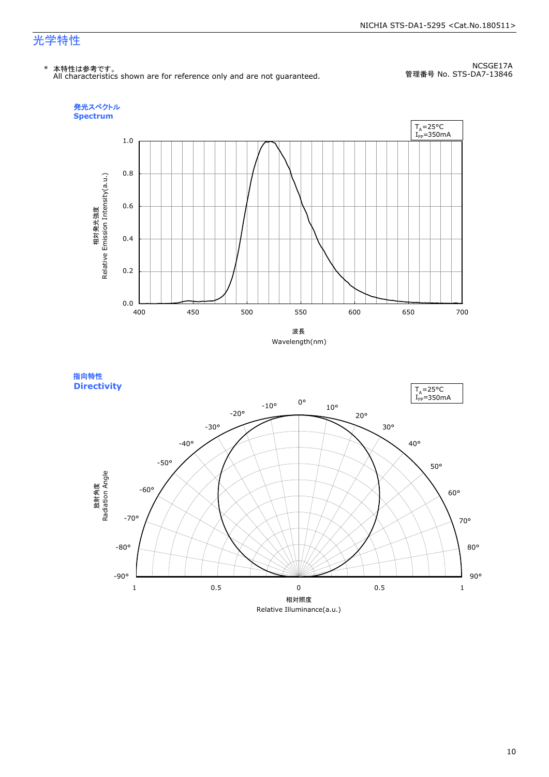### 光学特性

\* 本特性は参考です。 All characteristics shown are for reference only and are not guaranteed.

NCSGE17A 管理番号 No. STS-DA7-13846





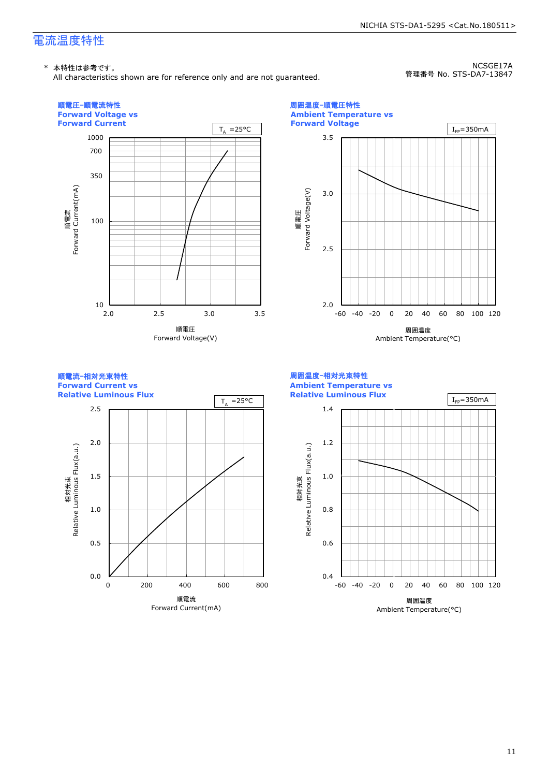### 電流温度特性

#### \* 本特性は参考です。

All characteristics shown are for reference only and are not guaranteed.

NCSGE17A 管理番号 No. STS-DA7-13847

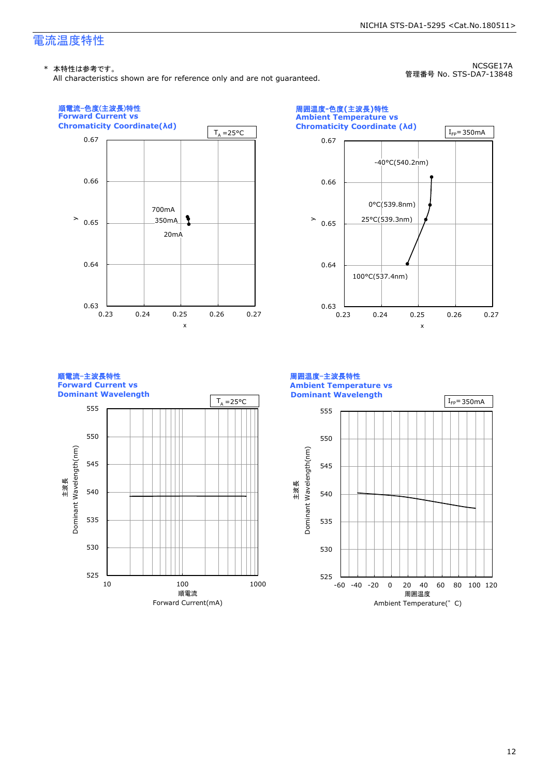### 電流温度特性

#### \* 本特性は参考です。

All characteristics shown are for reference only and are not guaranteed.

NCSGE17A 管理番号 No. STS-DA7-13848







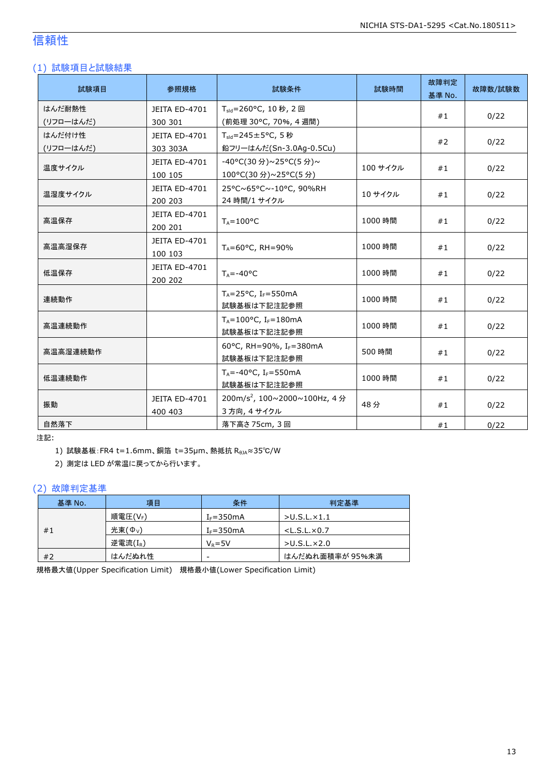### 信頼性

### (1) 試験項目と試験結果

| 試験項目      | 参照規格          | 試験条件                                        | 試験時間     | 故障判定<br>基準 No. | 故障数/試験数 |
|-----------|---------------|---------------------------------------------|----------|----------------|---------|
| はんだ耐熱性    | JEITA ED-4701 | $T_{\text{std}} = 260$ °C, 10 秒, 2 回        |          | #1             | 0/22    |
| (リフローはんだ) | 300 301       | (前処理 30°C, 70%, 4 週間)                       |          |                |         |
| はんだ付け性    | JEITA ED-4701 | $T_{\text{std}} = 245 \pm 5^{\circ}$ C, 5秒  |          | #2             | 0/22    |
| (リフローはんだ) | 303 303A      | 鉛フリーはんだ(Sn-3.0Ag-0.5Cu)                     |          |                |         |
| 温度サイクル    | JEITA ED-4701 | -40°C(30分)~25°C(5分)~                        | 100 サイクル | #1             |         |
|           | 100 105       | 100°C(30 分)~25°C(5 分)                       |          |                | 0/22    |
| 温湿度サイクル   | JEITA ED-4701 | 25°C~65°C~-10°C, 90%RH                      | 10 サイクル  |                |         |
|           | 200 203       | 24 時間/1 サイクル                                |          | #1             | 0/22    |
|           | JEITA ED-4701 |                                             |          |                | 0/22    |
| 高温保存      | 200 201       | $T_A = 100^{\circ}C$                        | 1000 時間  | #1             |         |
|           | JEITA ED-4701 |                                             | 1000 時間  | #1             | 0/22    |
| 高温高湿保存    | 100 103       | $T_A = 60^{\circ}$ C, RH = 90%              |          |                |         |
| 低温保存      | JEITA ED-4701 |                                             | 1000 時間  | #1             | 0/22    |
|           | 200 202       | $T_A = -40$ °C                              |          |                |         |
| 連続動作      |               | T <sub>A</sub> =25°C, I <sub>F</sub> =550mA | 1000 時間  |                |         |
|           | 試験基板は下記注記参照   |                                             |          | #1             | 0/22    |
|           |               | $T_A = 100$ °C, I <sub>F</sub> =180mA       |          |                |         |
| 高温連続動作    |               | 試験基板は下記注記参照                                 | 1000 時間  | #1             | 0/22    |
|           |               | 60°C, RH=90%, IF=380mA                      |          |                |         |
| 高温高湿連続動作  |               | 試験基板は下記注記参照                                 | 500 時間   | #1             | 0/22    |
|           |               | $T_A = -40$ °C, I <sub>F</sub> =550mA       |          |                |         |
| 低温連続動作    |               | 試験基板は下記注記参照                                 | 1000 時間  | #1             | 0/22    |
|           | JEITA ED-4701 | 200m/s <sup>2</sup> , 100~2000~100Hz, 4分    |          |                |         |
| 振動        | 400 403       | 3 方向, 4 サイクル                                | 48分      | #1             | 0/22    |
| 自然落下      |               | 落下高さ 75cm, 3回                               |          | #1             | 0/22    |

注記:

1) 試験基板: FR4 t=1.6mm、銅箔 t=35μm、熱抵抗 RθJA≈35℃/W

2) 測定は LED が常温に戻ってから行います。

#### (2) 故障判定基準

| 基準 No. | 項目               | 条件                       | 判定基準                    |
|--------|------------------|--------------------------|-------------------------|
|        | 順電圧(VF)          | $I_F = 350mA$            | $>$ U.S.L. $\times$ 1.1 |
| #1     | 光束( $\Phi_{V}$ ) | $IF=350mA$               | $<$ L.S.L. $\times$ 0.7 |
|        | 逆電流 $(I_R)$      | $V_R = 5V$               | $>$ U.S.L $\times$ 2.0  |
| #2     | はんだぬれ性           | $\overline{\phantom{a}}$ | はんだぬれ面積率が 95%未満         |

規格最大値(Upper Specification Limit) 規格最小値(Lower Specification Limit)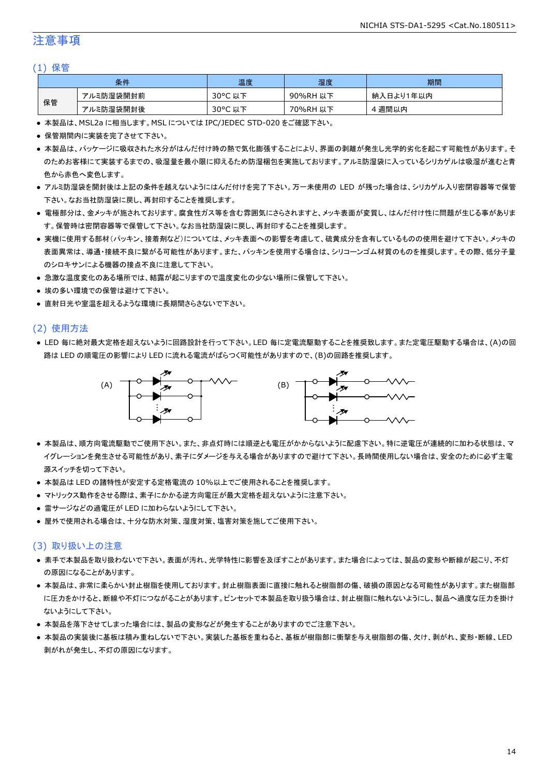### 注意事項

#### (1) 保管

|    | 条件        | 温度                    | 湿度       | 期間        |
|----|-----------|-----------------------|----------|-----------|
|    | アルミ防湿袋開封前 | $30^{\circ}$ C<br>以下  | 90%RH 以下 | 納入日より1年以内 |
| 保管 | アルミ防湿袋開封後 | $30^{\circ}$ C<br>,以下 | 70%RH 以下 | · 週間以内    |

● 本製品は、MSL2a に相当します。MSL については IPC/JEDEC STD-020 をご確認下さい。

- 保管期間内に実装を完了させて下さい。
- 本製品は、パッケージに吸収された水分がはんだ付け時の熱で気化膨張することにより、界面の剥離が発生し光学的劣化を起こす可能性があります。そ のためお客様にて実装するまでの、吸湿量を最小限に抑えるため防湿梱包を実施しております。アルミ防湿袋に入っているシリカゲルは吸湿が進むと青 色から赤色へ変色します。
- アルミ防湿袋を開封後は上記の条件を越えないようにはんだ付けを完了下さい。万一未使用の LED が残った場合は、シリカゲル入り密閉容器等で保管 下さい。なお当社防湿袋に戻し、再封印することを推奨します。
- 電極部分は、金メッキが施されております。腐食性ガス等を含む雰囲気にさらされますと、メッキ表面が変質し、はんだ付け性に問題が生じる事がありま す。保管時は密閉容器等で保管して下さい。なお当社防湿袋に戻し、再封印することを推奨します。
- 実機に使用する部材(パッキン、接着剤など)については、メッキ表面への影響を考慮して、硫黄成分を含有しているものの使用を避けて下さい。メッキの 表面異常は、導通・接続不良に繋がる可能性があります。また、パッキンを使用する場合は、シリコーンゴム材質のものを推奨します。その際、低分子量 のシロキサンによる機器の接点不良に注意して下さい。
- 急激な温度変化のある場所では、結露が起こりますので温度変化の少ない場所に保管して下さい。
- 埃の多い環境での保管は避けて下さい。
- 直射日光や室温を超えるような環境に長期間さらさないで下さい。

#### (2) 使用方法

● LED 毎に絶対最大定格を超えないように回路設計を行って下さい。LED 毎に定電流駆動することを推奨致します。また定電圧駆動する場合は、(A)の回 路は LED の順電圧の影響により LED に流れる電流がばらつく可能性がありますので、(B)の回路を推奨します。



- 本製品は、順方向電流駆動でご使用下さい。また、非点灯時には順逆とも電圧がかからないように配慮下さい。特に逆電圧が連続的に加わる状態は、マ イグレーションを発生させる可能性があり、素子にダメージを与える場合がありますので避けて下さい。長時間使用しない場合は、安全のために必ず主電 源スイッチを切って下さい。
- 本製品は LED の諸特性が安定する定格電流の 10%以上でご使用されることを推奨します。
- マトリックス動作をさせる際は、素子にかかる逆方向電圧が最大定格を超えないように注意下さい。
- 雷サージなどの過電圧が LED に加わらないようにして下さい。
- 屋外で使用される場合は、十分な防水対策、湿度対策、塩害対策を施してご使用下さい。

#### (3) 取り扱い上の注意

- 素手で本製品を取り扱わないで下さい。表面が汚れ、光学特性に影響を及ぼすことがあります。また場合によっては、製品の変形や断線が起こり、不灯 の原因になることがあります。
- 本製品は、非常に柔らかい封止樹脂を使用しております。封止樹脂表面に直接に触れると樹脂部の傷、破損の原因となる可能性があります。また樹脂部 に圧力をかけると、断線や不灯につながることがあります。ピンセットで本製品を取り扱う場合は、封止樹脂に触れないようにし、製品へ過度な圧力を掛け ないようにして下さい。
- 本製品を落下させてしまった場合には、製品の変形などが発生することがありますのでご注意下さい。
- 本製品の実装後に基板は積み重ねしないで下さい。実装した基板を重ねると、基板が樹脂部に衝撃を与え樹脂部の傷、欠け、剥がれ、変形・断線、LED 剥がれが発生し、不灯の原因になります。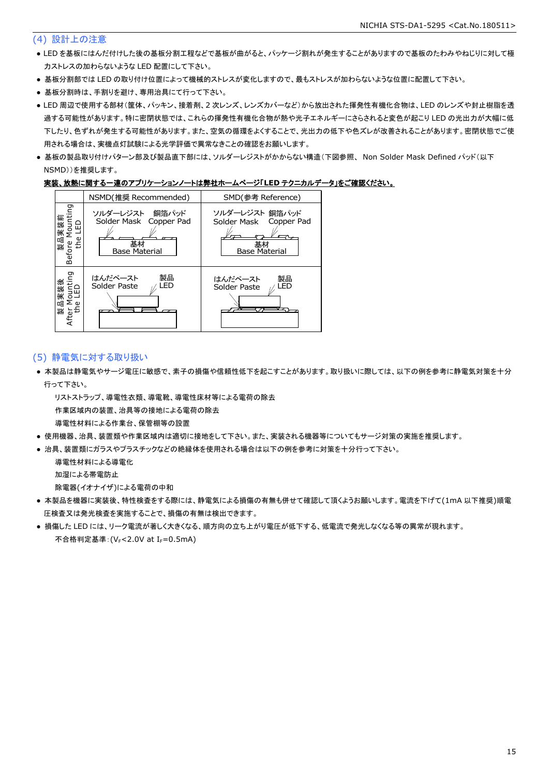#### (4) 設計上の注意

- LED を基板にはんだ付けした後の基板分割工程などで基板が曲がると、パッケージ割れが発生することがありますので基板のたわみやねじりに対して極 力ストレスの加わらないような LED 配置にして下さい。
- 基板分割部では LED の取り付け位置によって機械的ストレスが変化しますので、最もストレスが加わらないような位置に配置して下さい。
- 基板分割時は、手割りを避け、専用治具にて行って下さい。
- LED 周辺で使用する部材(筐体、パッキン、接着剤、2 次レンズ、レンズカバーなど)から放出された揮発性有機化合物は、LED のレンズや封止樹脂を透 過する可能性があります。特に密閉状態では、これらの揮発性有機化合物が熱や光子エネルギーにさらされると変色が起こり LED の光出力が大幅に低 下したり、色ずれが発生する可能性があります。また、空気の循環をよくすることで、光出力の低下や色ズレが改善されることがあります。密閉状態でご使 用される場合は、実機点灯試験による光学評価で異常なきことの確認をお願いします。
- 基板の製品取り付けパターン部及び製品直下部には、ソルダーレジストがかからない構造(下図参照、 Non Solder Mask Defined パッド(以下 NSMD))を推奨します。

#### 実装、放熱に関する一連のアプリケーションノートは弊社ホームページ「**LED** テクニカルデータ」をご確認ください。



#### (5) 静電気に対する取り扱い

● 本製品は静電気やサージ電圧に敏感で、素子の損傷や信頼性低下を起こすことがあります。取り扱いに際しては、以下の例を参考に静電気対策を十分 行って下さい。

リストストラップ、導電性衣類、導電靴、導電性床材等による電荷の除去

作業区域内の装置、治具等の接地による電荷の除去

- 導電性材料による作業台、保管棚等の設置
- 使用機器、治具、装置類や作業区域内は適切に接地をして下さい。また、実装される機器等についてもサージ対策の実施を推奨します。
- 治具、装置類にガラスやプラスチックなどの絶縁体を使用される場合は以下の例を参考に対策を十分行って下さい。

導電性材料による導電化

加湿による帯電防止

除電器(イオナイザ)による電荷の中和

- 本製品を機器に実装後、特性検査をする際には、静電気による損傷の有無も併せて確認して頂くようお願いします。電流を下げて(1mA 以下推奨)順電 圧検査又は発光検査を実施することで、損傷の有無は検出できます。
- 損傷した LED には、リーク電流が著しく大きくなる、順方向の立ち上がり電圧が低下する、低電流で発光しなくなる等の異常が現れます。 不合格判定基準: (VF<2.0V at IF=0.5mA)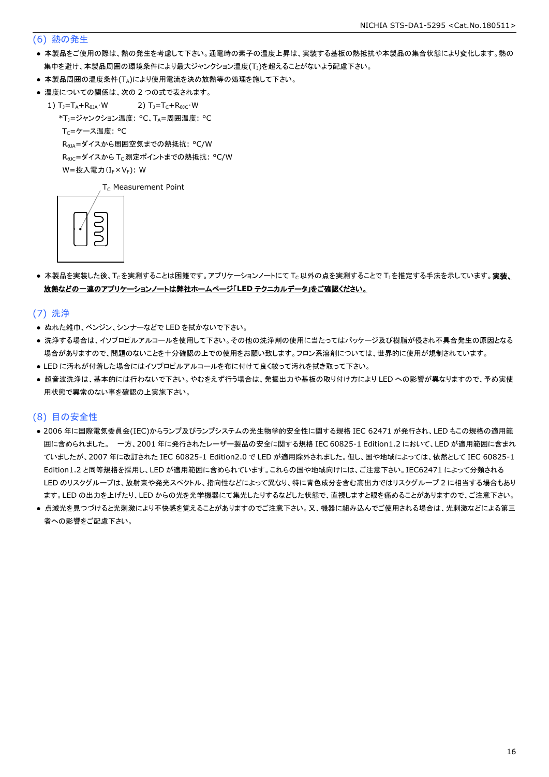#### (6) 熱の発生

- 本製品をご使用の際は、熱の発生を考慮して下さい。通電時の素子の温度上昇は、実装する基板の熱抵抗や本製品の集合状態により変化します。熱の 集中を避け、本製品周囲の環境条件により最大ジャンクション温度(T))を超えることがないよう配慮下さい。
- 本製品周囲の温度条件(TA)により使用電流を決め放熱等の処理を施して下さい。
- 温度についての関係は、次の2つの式で表されます。
	- 1)  $T_1 = T_A + R_{\thetaJA} \cdot W$  2)  $T_1 = T_C + R_{\thetaJC} \cdot W$ 
		- \*T<sub>1</sub>=ジャンクション温度: °C、TA=周囲温度: °C

 $T_C = \mathcal{F} - \mathcal{F}$ 温度: °C

RθJA=ダイスから周囲空気までの熱抵抗: °C/W

R<sub>0JC</sub>=ダイスから T<sub>C</sub> 測定ポイントまでの熱抵抗: °C/W

 $W = \frac{1}{2} \lambda \frac{1}{2} \sum_{r=1}^{\infty} (I_r \times V_r)$ : W

 $T_c$  Measurement Point



● 本製品を実装した後、Tcを実測することは困難です。アプリケーションノートにて Tc以外の点を実測することで T」を推定する手法を示しています。実装、 放熱などの一連のアプリケーションノートは弊社ホームページ「**LED** テクニカルデータ」をご確認ください。

(7) 洗浄

- ぬれた雑巾、ベンジン、シンナーなどで LED を拭かないで下さい。
- 洗浄する場合は、イソプロピルアルコールを使用して下さい。その他の洗浄剤の使用に当たってはパッケージ及び樹脂が侵され不具合発生の原因となる 場合がありますので、問題のないことを十分確認の上での使用をお願い致します。フロン系溶剤については、世界的に使用が規制されています。
- LED に汚れが付着した場合にはイソプロピルアルコールを布に付けて良く絞って汚れを拭き取って下さい。
- 超音波洗浄は、基本的には行わないで下さい。やむをえず行う場合は、発振出力や基板の取り付け方により LED への影響が異なりますので、予め実使 用状態で異常のない事を確認の上実施下さい。

#### (8) 目の安全性

- 2006 年に国際電気委員会(IEC)からランプ及びランプシステムの光生物学的安全性に関する規格 IEC 62471 が発行され、LED もこの規格の適用範 囲に含められました。 一方、2001 年に発行されたレーザー製品の安全に関する規格 IEC 60825-1 Edition1.2 において、LED が適用範囲に含まれ ていましたが、2007 年に改訂された IEC 60825-1 Edition2.0 で LED が適用除外されました。但し、国や地域によっては、依然として IEC 60825-1 Edition1.2 と同等規格を採用し、LED が適用範囲に含められています。これらの国や地域向けには、ご注意下さい。IEC62471 によって分類される LED のリスクグループは、放射束や発光スペクトル、指向性などによって異なり、特に青色成分を含む高出力ではリスクグループ 2 に相当する場合もあり ます。LED の出力を上げたり、LED からの光を光学機器にて集光したりするなどした状態で、直視しますと眼を痛めることがありますので、ご注意下さい。
- 点滅光を見つづけると光刺激により不快感を覚えることがありますのでご注意下さい。又、機器に組み込んでご使用される場合は、光刺激などによる第三 者への影響をご配慮下さい。